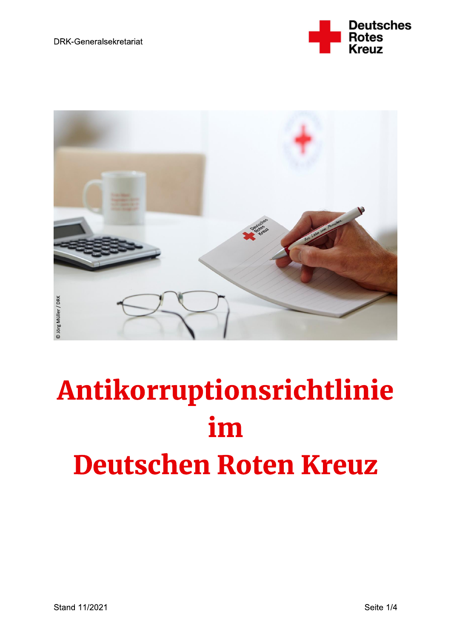



# Antikorruptionsrichtlinie im **Deutschen Roten Kreuz**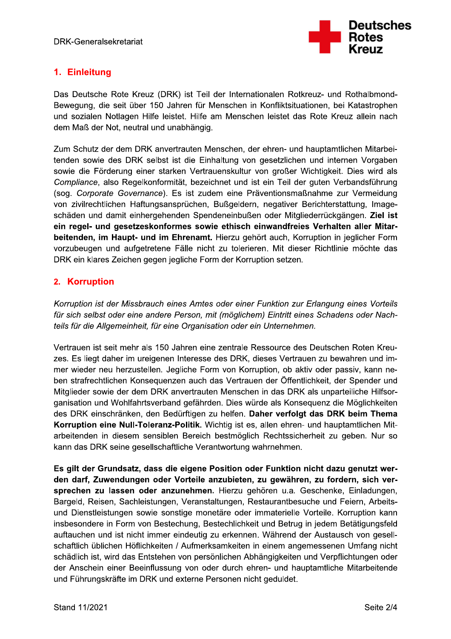

# 1. Einleitung

Das Deutsche Rote Kreuz (DRK) ist Teil der Internationalen Rotkreuz- und Rothalbmond-Bewegung, die seit über 150 Jahren für Menschen in Konfliktsituationen, bei Katastrophen und sozialen Notlagen Hilfe leistet. Hilfe am Menschen leistet das Rote Kreuz allein nach dem Maß der Not, neutral und unabhängig.

Zum Schutz der dem DRK anvertrauten Menschen, der ehren- und hauptamtlichen Mitarbeitenden sowie des DRK selbst ist die Einhaltung von gesetzlichen und internen Vorgaben sowie die Förderung einer starken Vertrauenskultur von großer Wichtigkeit. Dies wird als Compliance, also Regelkonformität, bezeichnet und ist ein Teil der guten Verbandsführung (sog. Corporate Governance). Es ist zudem eine Präventionsmaßnahme zur Vermeidung von zivilrechtlichen Haftungsansprüchen, Bußgeldern, negativer Berichterstattung, Imageschäden und damit einhergehenden Spendeneinbußen oder Mitgliederrückgängen. Ziel ist ein regel- und gesetzeskonformes sowie ethisch einwandfreies Verhalten aller Mitarbeitenden, im Haupt- und im Ehrenamt. Hierzu gehört auch, Korruption in jeglicher Form vorzubeugen und aufgetretene Fälle nicht zu tolerieren. Mit dieser Richtlinie möchte das DRK ein klares Zeichen gegen jegliche Form der Korruption setzen.

## 2. Korruption

Korruption ist der Missbrauch eines Amtes oder einer Funktion zur Erlangung eines Vorteils für sich selbst oder eine andere Person, mit (möglichem) Eintritt eines Schadens oder Nachteils für die Allgemeinheit, für eine Organisation oder ein Unternehmen.

Vertrauen ist seit mehr als 150 Jahren eine zentrale Ressource des Deutschen Roten Kreuzes. Es liegt daher im ureigenen Interesse des DRK, dieses Vertrauen zu bewahren und immer wieder neu herzustellen. Jegliche Form von Korruption, ob aktiv oder passiv, kann neben strafrechtlichen Konseguenzen auch das Vertrauen der Öffentlichkeit, der Spender und Mitglieder sowie der dem DRK anvertrauten Menschen in das DRK als unparteiliche Hilfsorganisation und Wohlfahrtsverband gefährden. Dies würde als Konseguenz die Möglichkeiten des DRK einschränken, den Bedürftigen zu helfen. Daher verfolgt das DRK beim Thema Korruption eine Null-Toleranz-Politik. Wichtig ist es, allen ehren- und hauptamtlichen Mitarbeitenden in diesem sensiblen Bereich bestmöglich Rechtssicherheit zu geben. Nur so kann das DRK seine gesellschaftliche Verantwortung wahrnehmen.

Es gilt der Grundsatz, dass die eigene Position oder Funktion nicht dazu genutzt werden darf, Zuwendungen oder Vorteile anzubieten, zu gewähren, zu fordern, sich versprechen zu lassen oder anzunehmen. Hierzu gehören u.a. Geschenke, Einladungen, Bargeld, Reisen, Sachleistungen, Veranstaltungen, Restaurantbesuche und Feiern, Arbeitsund Dienstleistungen sowie sonstige monetäre oder immaterielle Vorteile. Korruption kann insbesondere in Form von Bestechung, Bestechlichkeit und Betrug in jedem Betätigungsfeld auftauchen und ist nicht immer eindeutig zu erkennen. Während der Austausch von gesellschaftlich üblichen Höflichkeiten / Aufmerksamkeiten in einem angemessenen Umfang nicht schädlich ist, wird das Entstehen von persönlichen Abhängigkeiten und Verpflichtungen oder der Anschein einer Beeinflussung von oder durch ehren- und hauptamtliche Mitarbeitende und Führungskräfte im DRK und externe Personen nicht geduldet.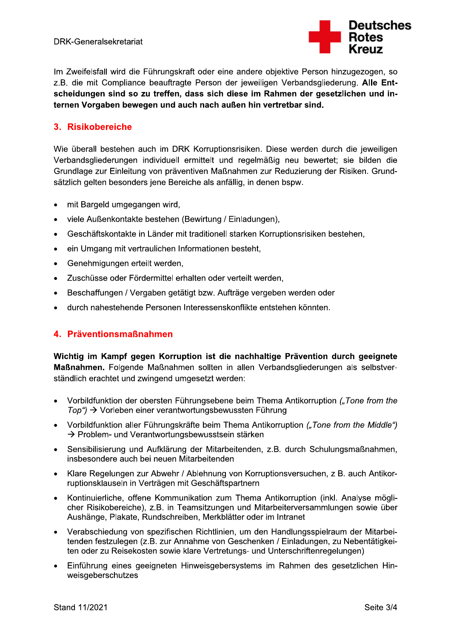

Im Zweifelsfall wird die Führungskraft oder eine andere objektive Person hinzugezogen, so z.B. die mit Compliance beauftragte Person der jeweiligen Verbandsgliederung. Alle Entscheidungen sind so zu treffen, dass sich diese im Rahmen der gesetzlichen und internen Vorgaben bewegen und auch nach außen hin vertretbar sind.

## 3. Risikobereiche

Wie überall bestehen auch im DRK Korruptionsrisiken. Diese werden durch die jeweiligen Verbandsgliederungen individuell ermittelt und regelmäßig neu bewertet; sie bilden die Grundlage zur Einleitung von präventiven Maßnahmen zur Reduzierung der Risiken. Grundsätzlich gelten besonders jene Bereiche als anfällig, in denen bspw.

- mit Bargeld umgegangen wird,  $\bullet$
- viele Außenkontakte bestehen (Bewirtung / Einladungen),
- Geschäftskontakte in Länder mit traditionell starken Korruptionsrisiken bestehen,
- ein Umgang mit vertraulichen Informationen besteht,
- Genehmigungen erteilt werden,  $\bullet$
- Zuschüsse oder Fördermittel erhalten oder verteilt werden,  $\bullet$
- Beschaffungen / Vergaben getätigt bzw. Aufträge vergeben werden oder  $\bullet$
- durch nahestehende Personen Interessenskonflikte entstehen könnten.

## 4. Präventionsmaßnahmen

Wichtig im Kampf gegen Korruption ist die nachhaltige Prävention durch geeignete Maßnahmen. Folgende Maßnahmen sollten in allen Verbandsgliederungen als selbstverständlich erachtet und zwingend umgesetzt werden:

- Vorbildfunktion der obersten Führungsebene beim Thema Antikorruption ("Tone from the  $Top$ ")  $\rightarrow$  Vorleben einer verantwortungsbewussten Führung
- Vorbildfunktion aller Führungskräfte beim Thema Antikorruption ("Tone from the Middle") → Problem- und Verantwortungsbewusstsein stärken
- Sensibilisierung und Aufklärung der Mitarbeitenden, z.B. durch Schulungsmaßnahmen. insbesondere auch bei neuen Mitarbeitenden
- Klare Regelungen zur Abwehr / Ablehnung von Korruptionsversuchen, z B. auch Antikorruptionsklauseln in Verträgen mit Geschäftspartnern
- Kontinuierliche, offene Kommunikation zum Thema Antikorruption (inkl. Analyse möglicher Risikobereiche), z.B. in Teamsitzungen und Mitarbeiterversammlungen sowie über Aushänge, Plakate, Rundschreiben, Merkblätter oder im Intranet
- Verabschiedung von spezifischen Richtlinien, um den Handlungsspielraum der Mitarbeitenden festzulegen (z.B. zur Annahme von Geschenken / Einladungen, zu Nebentätigkeiten oder zu Reisekosten sowie klare Vertretungs- und Unterschriftenregelungen)
- Einführung eines geeigneten Hinweisgebersystems im Rahmen des gesetzlichen Hinweisgeberschutzes